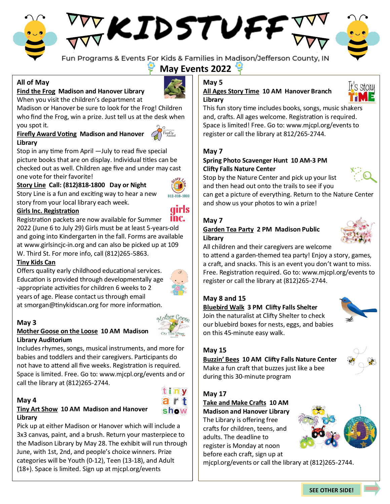# KIDSTUFF



Fun Programs & Events For Kids & Families in Madison/Jefferson County, IN

**May Events 2022**

# **All of May**

#### **Find the Frog Madison and Hanover Library** When you visit the children's department at



Madison or Hanover be sure to look for the Frog! Children who find the Frog, win a prize. Just tell us at the desk when you spot it.

# **Firefly Award Voting Madison and Hanover**



**Library** Stop in any time from April —July to read five special picture books that are on display. Individual titles can be checked out as well. Children age five and under may cast one vote for their favorite!

# **Story Line Call: (812)818-1800 Day or Night**

Story Line is a fun and exciting way to hear a new story from your local library each week.

#### **Girls Inc. Registration**

inc. Registration packets are now available for Summer 2022 (June 6 to July 29) Girls must be at least 5-years-old and going into Kindergarten in the fall. Forms are available at www.girlsincjc-in.org and can also be picked up at 109 W. Third St. For more info, call (812)265-5863.

#### **Tiny Kids Can**

Offers quality early childhood educational services. Education is provided through developmentally age -appropriate activities for children 6 weeks to 2 years of age. Please contact us through email at smorgan@tinykidscan.org for more information.



#### **May 3**

#### **Mother Goose on the Loose 10 AM Madison Library Auditorium**

Includes rhymes, songs, musical instruments, and more for babies and toddlers and their caregivers. Participants do not have to attend all five weeks. Registration is required. Space is limited. Free. Go to: www.mjcpl.org/events and or call the library at (812)265-2744.

#### **May 4**

#### **Tiny Art Show 10 AM Madison and Hanover Library**

Pick up at either Madison or Hanover which will include a 3x3 canvas, paint, and a brush. Return your masterpiece to the Madison Library by May 28. The exhibit will run through June, with 1st, 2nd, and people's choice winners. Prize categories will be Youth (0-12), Teen (13-18), and Adult (18+). Space is limited. Sign up at mjcpl.org/events

# **May 5**

#### **All Ages Story Time 10 AM Hanover Branch Library**



This fun story time includes books, songs, music shakers and, crafts. All ages welcome. Registration is required. Space is limited! Free. Go to: www.mjcpl.org/events to register or call the library at 812/265-2744.

#### **May 7**

#### **Spring Photo Scavenger Hunt 10 AM-3 PM Clifty Falls Nature Center**

Stop by the Nature Center and pick up your list



and then head out onto the trails to see if you can get a picture of everything. Return to the Nature Center and show us your photos to win a prize!

#### **May 7**

#### **Garden Tea Party 2 PM Madison Public Library**



All children and their caregivers are welcome

to attend a garden-themed tea party! Enjoy a story, games, a craft, and snacks. This is an event you don't want to miss. Free. Registration required. Go to: www.mjcpl.org/events to register or call the library at (812)265-2744.

#### **May 8 and 15**

#### **Bluebird Walk 3 PM Clifty Falls Shelter** Join the naturalist at Clifty Shelter to check our bluebird boxes for nests, eggs, and babies on this 45-minute easy walk.



#### **May 15**

# **Buzzin' Bees 10 AM Clifty Falls Nature Center** Make a fun craft that buzzes just like a bee

during this 30-minute program

## **May 17**

## **Take and Make Crafts 10 AM**

**Madison and Hanover Library** The Library is offering free crafts for children, teens, and adults. The deadline to register is Monday at noon before each craft, sign up at



mjcpl.org/events or call the library at (812)265-2744.







812-818-1800

*<u>uirls</u>*